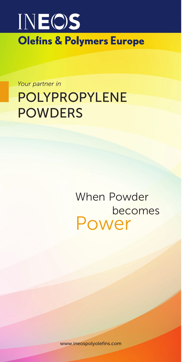

# *Your partner in* POLYPROPYLENE POWDERS

When Powder becomes Power

www.ineospolyolefins.com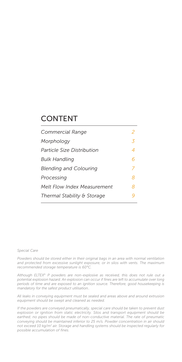#### CONTENT

| Commercial Range              | 2 |
|-------------------------------|---|
| Morphology                    | 3 |
| Particle Size Distribution    | 4 |
| Bulk Handling                 | 6 |
| <b>Blending and Colouring</b> | 7 |
| Processing                    | 8 |
| Melt Flow Index Measurement   | 8 |
| Thermal Stability & Storage   |   |
|                               |   |

#### *Special Care*

*Powders should be stored either in their original bags in an area with normal ventilation and protected from excessive sunlight exposure, or in silos with vents. The maximum recommended storage temperature is 60°C.*

*Although ELTEX® P powders are non-explosive as received, this does not rule out a potential explosion hazard. An explosion can occur if fines are left to accumulate over long periods of time and are exposed to an ignition source. Therefore, good housekeeping is mandatory for the safest product utilisation..*

*All leaks in conveying equipment must be sealed and areas above and around extrusion equipment should be swept and cleaned as needed.*

*If the powders are conveyed pneumatically, special care should be taken to prevent dust explosion or ignition from static electricity. Silos and transport equipment should be earthed; no pipes should be made of non-conductive material. The rate of pneumatic conveying should be maintained inferior to 25 m/s. Powder concentration in air should not exceed 10 kg/m3 air. Storage and handling systems should be inspected regularly for possible accumulation of fines.*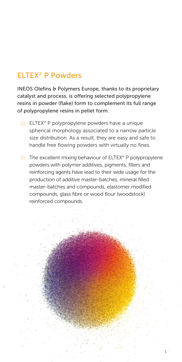### ELTEX® P Powders

INEOS Olefins & Polymers Europe, thanks to its proprietary catalyst and process, is offering selected polypropylene resins in powder (flake) form to complement its full range of polypropylene resins in pellet form.

- ELTEX<sup>®</sup> P polypropylene powders have a unique spherical morphology associated to a narrow particle size distribution. As a result, they are easy and safe to handle free flowing powders with virtually no fines.
- $\Box$  The excellent mixing behaviour of ELTEX<sup>®</sup> P polypropylene powders with polymer additives, pigments, fillers and reinforcing agents have lead to their wide usage for the production of additive master-batches, mineral filled master-batches and compounds, elastomer modified compounds, glass fibre or wood flour (woodstock) reinforced compounds.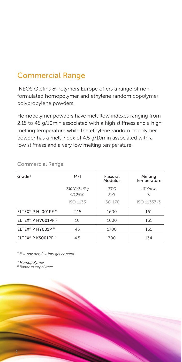#### Commercial Range

INEOS Olefins & Polymers Europe offers a range of nonformulated homopolymer and ethylene random copolymer polypropylene powders.

Homopolymer powders have melt flow indexes ranging from 2.15 to 45 g/10min associated with a high stiffness and a high melting temperature while the ethylene random copolymer powder has a melt index of 4.5 g/10min associated with a low stiffness and a very low melting temperature.

| Grade*                                     | MFI                        | Flexural<br>Modulus   | Melting<br>Temperature   |
|--------------------------------------------|----------------------------|-----------------------|--------------------------|
|                                            | 230°C/2.16kg<br>$q/10$ min | $23^{\circ}$ C<br>MPa | $10^{\circ}$ K/min<br>°C |
|                                            | <b>ISO 1133</b>            | <b>ISO 178</b>        | ISO 11357-3              |
| ELTEX <sup>®</sup> P HL001PF <sup>1)</sup> | 2.15                       | 1600                  | 161                      |
| ELTEX <sup>®</sup> P HV001PF <sup>1)</sup> | 10                         | 1600                  | 161                      |
| ELTEX <sup>®</sup> P HY001P <sup>1)</sup>  | 45                         | 1700                  | 161                      |
| ELTEX® P KS001PF <sup>2)</sup>             | 4.5                        | 700                   | 134                      |

#### Commercial Range

*\*) P = powder, F = low gel content*

*1) Homopolymer*

*2) Random copolymer*

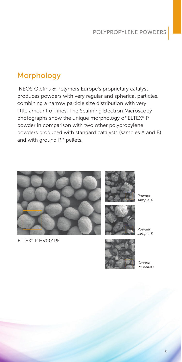### **Morphology**

INEOS Olefins & Polymers Europe's proprietary catalyst produces powders with very regular and spherical particles, combining a narrow particle size distribution with very little amount of fines. The Scanning Electron Microscopy photographs show the unique morphology of ELTEX® P powder in comparison with two other polypropylene powders produced with standard catalysts (samples A and B) and with ground PP pellets.



ELTEX® P HV001PF





*Powder sample B*

*Powder sample A*



*Ground PP pellets*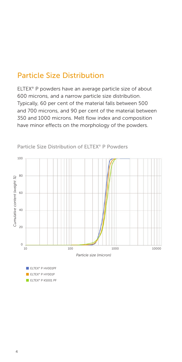#### Particle Size Distribution

ELTEX® P powders have an average particle size of about 600 microns, and a narrow particle size distribution. Typically, 60 per cent of the material falls between 500 and 700 microns, and 90 per cent of the material between 350 and 1000 microns. Melt flow index and composition have minor effects on the morphology of the powders.



Particle Size Distribution of ELTEX® P Powders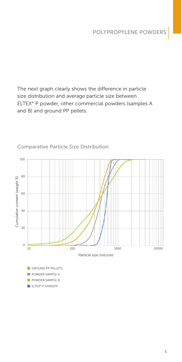The next graph clearly shows the difference in particle size distribution and average particle size between ELTEX® P powder, other commercial powders (samples A and B) and ground PP pellets.



#### Comparative Particle Size Distribution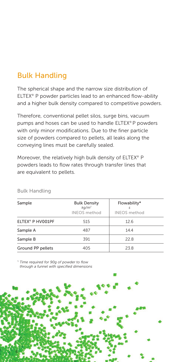### Bulk Handling

The spherical shape and the narrow size distribution of ELTEX® P powder particles lead to an enhanced flow-ability and a higher bulk density compared to competitive powders.

Therefore, conventional pellet silos, surge bins, vacuum pumps and hoses can be used to handle ELTEX® P powders with only minor modifications. Due to the finer particle size of powders compared to pellets, all leaks along the conveying lines must be carefully sealed.

Moreover, the relatively high bulk density of ELTEX® P powders leads to flow rates through transfer lines that are equivalent to pellets.

| Sample                       | <b>Bulk Density</b><br>$kq/m^3$<br><b>INEOS</b> method | Flowability*<br>S<br><b>INEOS</b> method |  |  |  |
|------------------------------|--------------------------------------------------------|------------------------------------------|--|--|--|
| ELTEX <sup>®</sup> P HV001PF | 515                                                    | 12.6                                     |  |  |  |
| Sample A                     | 487                                                    | 14.4                                     |  |  |  |
| Sample B                     | 391                                                    | 22.8                                     |  |  |  |
| Ground PP pellets            | 405                                                    | 23.8                                     |  |  |  |

#### Bulk Handling

*\*) Time required for 90g of powder to flow through a funnel with specified dimensions*

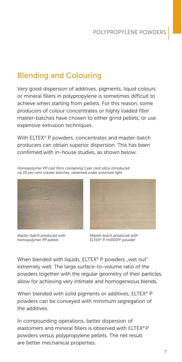#### Blending and Colouring

Very good dispersion of additives, pigments, liquid colours or mineral fillers in polypropylene is sometimes difficult to achieve when starting from pellets. For this reason, some producers of colour concentrates or highly loaded filler master-batches have chosen to either grind pellets, or use expensive extrusion techniques.

With ELTEX® P powders, concentrates and master-batch producers can obtain superior dispersion. This has been confirmed with in-house studies, as shown below.

*Homopolymer PP cast films containing 1 per cent silica introduced via 10 per cent master-batches, observed under polarised light*



*Master-batch produced with homopolymer PP pellets*



*Master-batch produced with ELTEX® P HV001PF powder*

When blended with liquids, ELTEX<sup>®</sup> P powders "wet out" extremely well. The large surface-to-volume ratio of the powders together with the regular geometry of their particles, allow for achieving very intimate and homogeneous blends.

When blended with solid pigments or additives, ELTEX<sup>®</sup> P powders can be conveyed with minimum segregation of the additives.

In compounding operations, better dispersion of elastomers and mineral fillers is observed with ELTEX® P powders versus polypropylene pellets. The net result are better mechanical properties.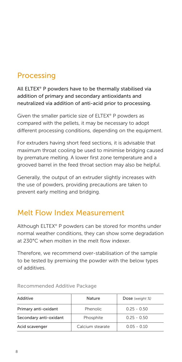### Processing

All ELTEX® P powders have to be thermally stabilised via addition of primary and secondary antioxidants and neutralized via addition of anti-acid prior to processing.

Given the smaller particle size of ELTEX® P powders as compared with the pellets, it may be necessary to adopt different processing conditions, depending on the equipment.

For extruders having short feed sections, it is advisable that maximum throat cooling be used to minimise bridging caused by premature melting. A lower first zone temperature and a grooved barrel in the feed throat section may also be helpful.

Generally, the output of an extruder slightly increases with the use of powders, providing precautions are taken to prevent early melting and bridging.

### Melt Flow Index Measurement

Although ELTEX® P powders can be stored for months under normal weather conditions, they can show some degradation at 230°C when molten in the melt flow indexer.

Therefore, we recommend over-stabilisation of the sample to be tested by premixing the powder with the below types of additives.

| Additive               | Nature           | Dose (weight %) |
|------------------------|------------------|-----------------|
| Primary anti-oxidant   | <b>Phenolic</b>  | $0.25 - 0.50$   |
| Secondary anti-oxidant | Phosphite        | $0.25 - 0.50$   |
| Acid scavenger         | Calcium stearate | $0.05 - 0.10$   |

Recommended Additive Package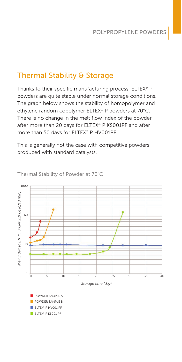### Thermal Stability & Storage

Thanks to their specific manufacturing process, ELTEX® P powders are quite stable under normal storage conditions. The graph below shows the stability of homopolymer and ethylene random copolymer ELTEX® P powders at 70°C. There is no change in the melt flow index of the powder after more than 20 days for ELTEX® P KS001PF and after more than 50 days for ELTEX® P HV001PF.

This is generally not the case with competitive powders produced with standard catalysts.



Thermal Stability of Powder at 70°C

ELTEX® P HV001 PF ELTEX<sup>®</sup> P KS001 PF